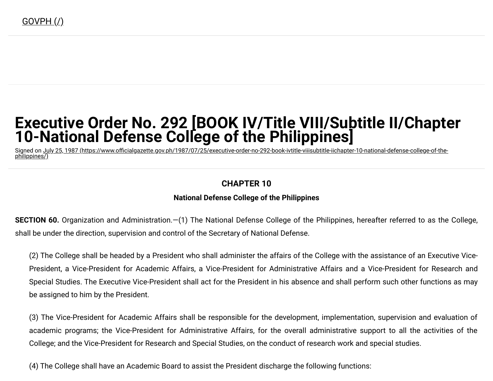# **Executive Order No. 292 [BOOK IV/Title VIII/Subtitle II/Chapter 10-National Defense College of the Philippines]**

Signed on <u>July 25, 1987 (https://www.officialgazette.gov.ph/1987/07/25/executive-order-no-292-book-ivtitle-viiisubtitle-iichapter-10-national-defense-college-of-the-</u> philippines/)

## **CHAPTER 10**

## **National Defense College of the Philippines**

**SECTION 60.** Organization and Administration.—(1) The National Defense College of the Philippines, hereafter referred to as the College, shall be under the direction, supervision and control of the Secretary of National Defense.

(2) The College shall be headed by a President who shall administer the affairs of the College with the assistance of an Executive Vice-President, a Vice-President for Academic Affairs, a Vice-President for Administrative Affairs and a Vice-President for Research and Special Studies. The Executive Vice-President shall act for the President in his absence and shall perform such other functions as may be assigned to him by the President.

(3) The Vice-President for Academic Affairs shall be responsible for the development, implementation, supervision and evaluation of academic programs; the Vice-President for Administrative Affairs, for the overall administrative support to all the activities of the College; and the Vice-President for Research and Special Studies, on the conduct of research work and special studies.

(4) The College shall have an Academic Board to assist the President discharge the following functions: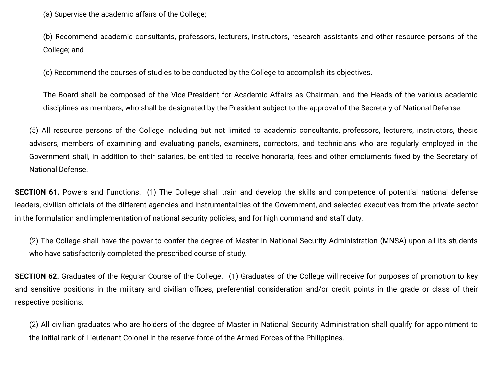(a) Supervise the academic affairs of the College;

(b) Recommend academic consultants, professors, lecturers, instructors, research assistants and other resource persons of the College; and

(c) Recommend the courses of studies to be conducted by the College to accomplish its objectives.

The Board shall be composed of the Vice-President for Academic Affairs as Chairman, and the Heads of the various academic disciplines as members, who shall be designated by the President subject to the approval of the Secretary of National Defense.

(5) All resource persons of the College including but not limited to academic consultants, professors, lecturers, instructors, thesis advisers, members of examining and evaluating panels, examiners, correctors, and technicians who are regularly employed in the Government shall, in addition to their salaries, be entitled to receive honoraria, fees and other emoluments fixed by the Secretary of National Defense.

**SECTION 61.** Powers and Functions.—(1) The College shall train and develop the skills and competence of potential national defense leaders, civilian officials of the different agencies and instrumentalities of the Government, and selected executives from the private sector in the formulation and implementation of national security policies, and for high command and staff duty.

(2) The College shall have the power to confer the degree of Master in National Security Administration (MNSA) upon all its students who have satisfactorily completed the prescribed course of study.

**SECTION 62.** Graduates of the Regular Course of the College.—(1) Graduates of the College will receive for purposes of promotion to key and sensitive positions in the military and civilian offices, preferential consideration and/or credit points in the grade or class of their respective positions.

(2) All civilian graduates who are holders of the degree of Master in National Security Administration shall qualify for appointment to the initial rank of Lieutenant Colonel in the reserve force of the Armed Forces of the Philippines.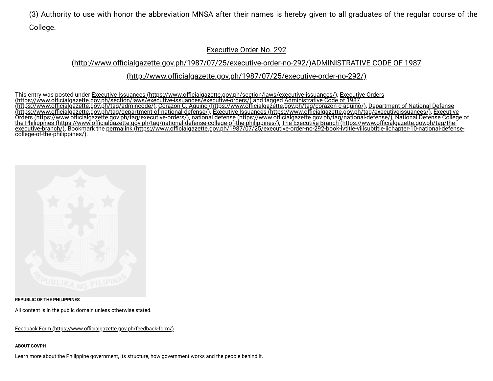(3) Authority to use with honor the abbreviation MNSA after their names is hereby given to all graduates of the regular course of the College.

#### Executive Order No. 292

## (http://www.officialgazette.gov.ph/1987/07/25/executive-order-no-292/)ADMINISTRATIVE CODE OF 1987

### (http://www.officialgazette.gov.ph/1987/07/25/executive-order-no-292/)

This entry was posted under <u>Executive Issuances (https://www.officialgazette.gov.ph/section/laws/executive-issuances/), Executive Orders</u> <u>(https://www.officialgazette.gov.ph/section/laws/executive-issuances/executive-orders/)</u> and tagged <u>Administrative Code of 1987</u> <u>(https://www.officialgazette.gov.ph/tag/admincode/), Corazon C. Aquino (https://www.officialgazette.gov.ph/tag/corazon-c-aquino/), Department of National Defense</u> [\(https://www.ocialgazette.gov.ph/tag/department-of-national-defense/\),](https://www.officialgazette.gov.ph/tag/department-of-national-defense/) Executive Issuances [\(https://www.ocialgazette.gov.ph/tag/executiveissuances/\)](https://www.officialgazette.gov.ph/tag/executiveissuances/), Executive Orders (https://www.ocialgazette.gov.ph/tag/executive-orders/), national defense [\(https://www.ocialgazette.gov.ph/tag/national-defense/\),](https://www.officialgazette.gov.ph/tag/national-defense/) National Defense College of the Philippines [\(https://www.ocialgazette.gov.ph/tag/national-defense-college-of-the-philippines/\),](https://www.officialgazette.gov.ph/tag/national-defense-college-of-the-philippines/) The Executive Branch (https://www.ocialgazette.gov.ph/tag/the-<u>executive-branch/)</u>. Bookmark the <u>permalink (https://www.officialgazette.gov.ph/1987/07/25/executive-order-no-292-book-ivtitle-viiisubtitle-iichapter-10-national-defense-</u> college-of-the-philippines/).



**REPUBLIC OF THE PHILIPPINES**

All content is in the public domain unless otherwise stated.

Feedback Form (https://www.officialgazette.gov.ph/feedback-form/)

#### **ABOUT GOVPH**

Learn more about the Philippine government, its structure, how government works and the people behind it.